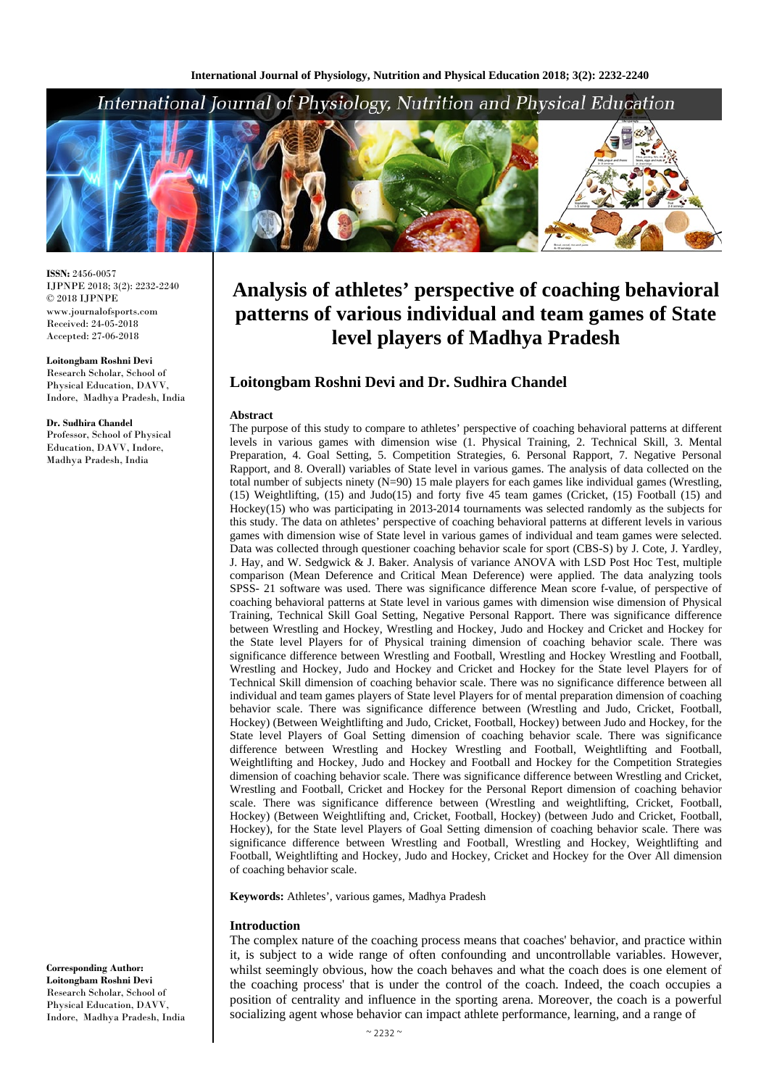

**ISSN:** 2456-0057 IJPNPE 2018; 3(2): 2232-2240  $\odot$  2018 IJPNPE www.journalofsports.com Received: 24-05-2018 Accepted: 27-06-2018

**Loitongbam Roshni Devi** Research Scholar, School of Physical Education, DAVV, Indore, Madhya Pradesh, India

#### **Dr. Sudhira Chandel**

Professor, School of Physical Education, DAVV, Indore, Madhya Pradesh, India

#### **Corresponding Author: Loitongbam Roshni Devi** Research Scholar, School of Physical Education, DAVV, Indore, Madhya Pradesh, India

# **Analysis of athletes' perspective of coaching behavioral patterns of various individual and team games of State level players of Madhya Pradesh**

# **Loitongbam Roshni Devi and Dr. Sudhira Chandel**

#### **Abstract**

The purpose of this study to compare to athletes' perspective of coaching behavioral patterns at different levels in various games with dimension wise (1. Physical Training, 2. Technical Skill, 3. Mental Preparation, 4. Goal Setting, 5. Competition Strategies, 6. Personal Rapport, 7. Negative Personal Rapport, and 8. Overall) variables of State level in various games. The analysis of data collected on the total number of subjects ninety (N=90) 15 male players for each games like individual games (Wrestling, (15) Weightlifting, (15) and Judo(15) and forty five 45 team games (Cricket, (15) Football (15) and Hockey(15) who was participating in 2013-2014 tournaments was selected randomly as the subjects for this study. The data on athletes' perspective of coaching behavioral patterns at different levels in various games with dimension wise of State level in various games of individual and team games were selected. Data was collected through questioner coaching behavior scale for sport (CBS-S) by J. Cote, J. Yardley, J. Hay, and W. Sedgwick & J. Baker. Analysis of variance ANOVA with LSD Post Hoc Test, multiple comparison (Mean Deference and Critical Mean Deference) were applied. The data analyzing tools SPSS- 21 software was used. There was significance difference Mean score f-value, of perspective of coaching behavioral patterns at State level in various games with dimension wise dimension of Physical Training, Technical Skill Goal Setting, Negative Personal Rapport. There was significance difference between Wrestling and Hockey, Wrestling and Hockey, Judo and Hockey and Cricket and Hockey for the State level Players for of Physical training dimension of coaching behavior scale. There was significance difference between Wrestling and Football, Wrestling and Hockey Wrestling and Football, Wrestling and Hockey, Judo and Hockey and Cricket and Hockey for the State level Players for of Technical Skill dimension of coaching behavior scale. There was no significance difference between all individual and team games players of State level Players for of mental preparation dimension of coaching behavior scale. There was significance difference between (Wrestling and Judo, Cricket, Football, Hockey) (Between Weightlifting and Judo, Cricket, Football, Hockey) between Judo and Hockey, for the State level Players of Goal Setting dimension of coaching behavior scale. There was significance difference between Wrestling and Hockey Wrestling and Football, Weightlifting and Football, Weightlifting and Hockey, Judo and Hockey and Football and Hockey for the Competition Strategies dimension of coaching behavior scale. There was significance difference between Wrestling and Cricket, Wrestling and Football, Cricket and Hockey for the Personal Report dimension of coaching behavior scale. There was significance difference between (Wrestling and weightlifting, Cricket, Football, Hockey) (Between Weightlifting and, Cricket, Football, Hockey) (between Judo and Cricket, Football, Hockey), for the State level Players of Goal Setting dimension of coaching behavior scale. There was significance difference between Wrestling and Football, Wrestling and Hockey, Weightlifting and Football, Weightlifting and Hockey, Judo and Hockey, Cricket and Hockey for the Over All dimension of coaching behavior scale.

**Keywords:** Athletes', various games, Madhya Pradesh

#### **Introduction**

The complex nature of the coaching process means that coaches' behavior, and practice within it, is subject to a wide range of often confounding and uncontrollable variables. However, whilst seemingly obvious, how the coach behaves and what the coach does is one element of the coaching process' that is under the control of the coach. Indeed, the coach occupies a position of centrality and influence in the sporting arena. Moreover, the coach is a powerful socializing agent whose behavior can impact athlete performance, learning, and a range of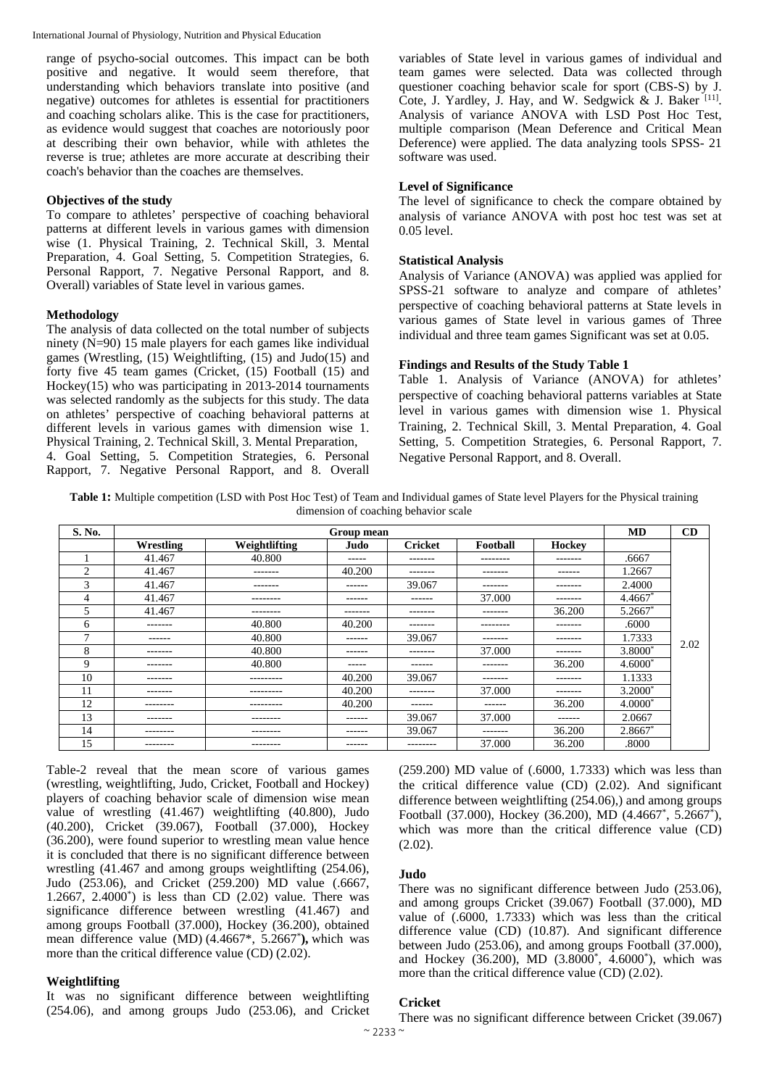range of psycho-social outcomes. This impact can be both positive and negative. It would seem therefore, that understanding which behaviors translate into positive (and negative) outcomes for athletes is essential for practitioners and coaching scholars alike. This is the case for practitioners, as evidence would suggest that coaches are notoriously poor at describing their own behavior, while with athletes the reverse is true; athletes are more accurate at describing their coach's behavior than the coaches are themselves.

#### **Objectives of the study**

To compare to athletes' perspective of coaching behavioral patterns at different levels in various games with dimension wise (1. Physical Training, 2. Technical Skill, 3. Mental Preparation, 4. Goal Setting, 5. Competition Strategies, 6. Personal Rapport, 7. Negative Personal Rapport, and 8. Overall) variables of State level in various games.

#### **Methodology**

The analysis of data collected on the total number of subjects ninety (N=90) 15 male players for each games like individual games (Wrestling, (15) Weightlifting, (15) and Judo(15) and forty five 45 team games (Cricket, (15) Football (15) and Hockey(15) who was participating in 2013-2014 tournaments was selected randomly as the subjects for this study. The data on athletes' perspective of coaching behavioral patterns at different levels in various games with dimension wise 1. Physical Training, 2. Technical Skill, 3. Mental Preparation, 4. Goal Setting, 5. Competition Strategies, 6. Personal Rapport, 7. Negative Personal Rapport, and 8. Overall

variables of State level in various games of individual and team games were selected. Data was collected through questioner coaching behavior scale for sport (CBS-S) by J. Cote, J. Yardley, J. Hay, and W. Sedgwick  $\&$  J. Baker [11]. Analysis of variance ANOVA with LSD Post Hoc Test, multiple comparison (Mean Deference and Critical Mean Deference) were applied. The data analyzing tools SPSS- 21 software was used.

# **Level of Significance**

The level of significance to check the compare obtained by analysis of variance ANOVA with post hoc test was set at 0.05 level.

#### **Statistical Analysis**

Analysis of Variance (ANOVA) was applied was applied for SPSS-21 software to analyze and compare of athletes' perspective of coaching behavioral patterns at State levels in various games of State level in various games of Three individual and three team games Significant was set at 0.05.

# **Findings and Results of the Study Table 1**

Table 1. Analysis of Variance (ANOVA) for athletes' perspective of coaching behavioral patterns variables at State level in various games with dimension wise 1. Physical Training, 2. Technical Skill, 3. Mental Preparation, 4. Goal Setting, 5. Competition Strategies, 6. Personal Rapport, 7. Negative Personal Rapport, and 8. Overall.

**Table 1:** Multiple competition (LSD with Post Hoc Test) of Team and Individual games of State level Players for the Physical training dimension of coaching behavior scale

| S. No.         |           |               | Group mean    |                |          |         | <b>MD</b>           | CD   |
|----------------|-----------|---------------|---------------|----------------|----------|---------|---------------------|------|
|                | Wrestling | Weightlifting | Judo          | <b>Cricket</b> | Football | Hockey  |                     |      |
|                | 41.467    | 40.800        | $- - - - -$   | -------        | -------- | ------- | .6667               |      |
| $\overline{c}$ | 41.467    | -------       | 40.200        | -------        | -------  | ------  | 1.2667              |      |
| 3              | 41.467    | -------       | ------        | 39.067         | -------  | ------- | 2.4000              |      |
| 4              | 41.467    | --------      | $- - - - - -$ | $- - - - - -$  | 37.000   | ------- | $4.4667*$           |      |
| 5              | 41.467    | --------      | -------       | -------        | -------  | 36.200  | 5.2667              |      |
| 6              | -------   | 40.800        | 40.200        | -------        | -------- | ------- | .6000               |      |
| $\mathbf{r}$   | ------    | 40.800        | $- - - - - -$ | 39.067         | -------  | ------- | 1.7333              | 2.02 |
| 8              | -------   | 40.800        | ------        | -------        | 37.000   | ------- | 3.8000 <sup>*</sup> |      |
| 9              | -------   | 40.800        | $- - - - -$   | $- - - - - -$  | -------  | 36.200  | $4.6000^{\circ}$    |      |
| 10             | -------   | ---------     | 40.200        | 39.067         | -------  | ------- | 1.1333              |      |
| 11             | -------   | ---------     | 40.200        | -------        | 37.000   | ------- | $3.2000^*$          |      |
| 12             | --------  | ---------     | 40.200        | $- - - - - -$  | ------   | 36.200  | $4.0000^*$          |      |
| 13             | -------   | --------      | $- - - - - -$ | 39.067         | 37.000   | ------  | 2.0667              |      |
| 14             | --------  | --------      | $- - - - - -$ | 39.067         | -------  | 36.200  | $2.8667*$           |      |
| 15             | --------  | --------      | $- - - - - -$ | --------       | 37.000   | 36.200  | .8000               |      |

Table-2 reveal that the mean score of various games (wrestling, weightlifting, Judo, Cricket, Football and Hockey) players of coaching behavior scale of dimension wise mean value of wrestling (41.467) weightlifting (40.800), Judo (40.200), Cricket (39.067), Football (37.000), Hockey (36.200), were found superior to wrestling mean value hence it is concluded that there is no significant difference between wrestling (41.467 and among groups weightlifting (254.06), Judo (253.06), and Cricket (259.200) MD value (.6667, 1.2667, 2.4000\* ) is less than CD (2.02) value. There was significance difference between wrestling (41.467) and among groups Football (37.000), Hockey ( $36.200$ ), obtained mean difference value (MD) (4.4667\*, 5.2667\* **),** which was more than the critical difference value (CD) (2.02).

# **Weightlifting**

It was no significant difference between weightlifting (254.06), and among groups Judo (253.06), and Cricket (259.200) MD value of (.6000, 1.7333) which was less than the critical difference value (CD) (2.02). And significant difference between weightlifting (254.06),) and among groups Football (37.000), Hockey (36.200), MD (4.4667<sup>\*</sup>, 5.2667<sup>\*</sup>), which was more than the critical difference value (CD)  $(2.02)$ .

#### **Judo**

There was no significant difference between Judo (253.06), and among groups Cricket (39.067) Football (37.000), MD value of (.6000, 1.7333) which was less than the critical difference value (CD) (10.87). And significant difference between Judo (253.06), and among groups Football (37.000), and Hockey (36.200), MD (3.8000<sup>\*</sup>, 4.6000<sup>\*</sup>), which was more than the critical difference value (CD) (2.02).

# **Cricket**

There was no significant difference between Cricket (39.067)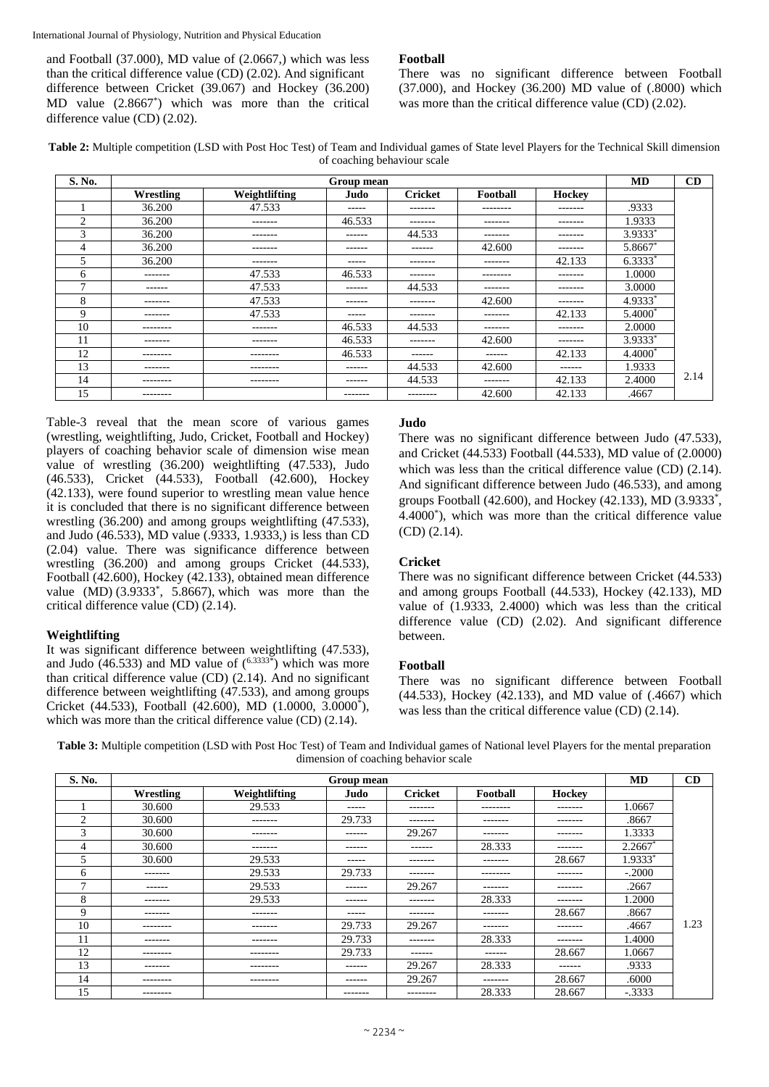and Football (37.000), MD value of (2.0667,) which was less than the critical difference value (CD) (2.02). And significant difference between Cricket (39.067) and Hockey (36.200) MD value (2.8667\* ) which was more than the critical difference value (CD) (2.02).

# **Football**

There was no significant difference between Football (37.000), and Hockey (36.200) MD value of (.8000) which was more than the critical difference value (CD) (2.02).

**Table 2:** Multiple competition (LSD with Post Hoc Test) of Team and Individual games of State level Players for the Technical Skill dimension of coaching behaviour scale

| S. No.         |           |                 | Group mean |                |          |         | <b>MD</b>           | CD   |
|----------------|-----------|-----------------|------------|----------------|----------|---------|---------------------|------|
|                | Wrestling | Weightlifting   | Judo       | <b>Cricket</b> | Football | Hockey  |                     |      |
|                | 36.200    | 47.533          | -----      | -------        | -------- | ------- | .9333               |      |
| $\overline{2}$ | 36.200    | -------         | 46.533     | -------        | -------  | ------- | 1.9333              |      |
| 3              | 36.200    | $- - - - - - -$ | ------     | 44.533         | -------  | ------- | $3.9333*$           |      |
| 4              | 36.200    | $- - - - - - -$ | ------     | $- - - - - -$  | 42.600   | ------- | 5.8667*             |      |
| 5              | 36.200    | $- - - - - - -$ | -----      | -------        | -------  | 42.133  | $6.3333*$           |      |
| 6              | -------   | 47.533          | 46.533     | -------        | -------- | ------- | 1.0000              |      |
| 7              | ------    | 47.533          | ------     | 44.533         | -------  | ------- | 3.0000              |      |
| 8              | -------   | 47.533          | ------     | -------        | 42.600   | ------- | 4.9333*             |      |
| 9              | -------   | 47.533          | -----      | -------        | -------  | 42.133  | 5.4000 <sup>*</sup> |      |
| 10             | --------  | $- - - - - - -$ | 46.533     | 44.533         | -------  | ------- | 2.0000              |      |
| 11             | -------   | $- - - - - - -$ | 46.533     | -------        | 42.600   | ------- | $3.9333*$           |      |
| 12             | --------  | --------        | 46.533     | $- - - - - -$  | ------   | 42.133  | 4.4000*             |      |
| 13             | -------   | --------        | ------     | 44.533         | 42.600   | ------  | 1.9333              |      |
| 14             | --------  | --------        | ------     | 44.533         | -------  | 42.133  | 2.4000              | 2.14 |
| 15             | --------  |                 | -------    | --------       | 42.600   | 42.133  | .4667               |      |

Table-3 reveal that the mean score of various games (wrestling, weightlifting, Judo, Cricket, Football and Hockey) players of coaching behavior scale of dimension wise mean value of wrestling (36.200) weightlifting (47.533), Judo (46.533), Cricket (44.533), Football (42.600), Hockey (42.133), were found superior to wrestling mean value hence it is concluded that there is no significant difference between wrestling (36.200) and among groups weightlifting (47.533), and Judo (46.533), MD value (.9333, 1.9333,) is less than CD (2.04) value. There was significance difference between wrestling (36.200) and among groups Cricket (44.533), Football (42.600), Hockey (42.133), obtained mean difference value  $(MD)$   $(3.9333^*$ , 5.8667), which was more than the critical difference value (CD) (2.14).

# **Weightlifting**

It was significant difference between weightlifting (47.533), and Judo (46.533) and MD value of  $(6.3333*)$  which was more than critical difference value (CD) (2.14). And no significant difference between weightlifting (47.533), and among groups Cricket (44.533), Football (42.600), MD (1.0000, 3.0000\* ), which was more than the critical difference value (CD)  $(2.14)$ .

# **Judo**

There was no significant difference between Judo (47.533), and Cricket (44.533) Football (44.533), MD value of (2.0000) which was less than the critical difference value (CD) (2.14). And significant difference between Judo (46.533), and among groups Football (42.600), and Hockey (42.133), MD (3.9333<sup>\*</sup>, 4.4000\* ), which was more than the critical difference value (CD) (2.14).

# **Cricket**

There was no significant difference between Cricket (44.533) and among groups Football (44.533), Hockey (42.133), MD value of (1.9333, 2.4000) which was less than the critical difference value (CD) (2.02). And significant difference between.

# **Football**

There was no significant difference between Football (44.533), Hockey (42.133), and MD value of (.4667) which was less than the critical difference value (CD) (2.14).

**Table 3:** Multiple competition (LSD with Post Hoc Test) of Team and Individual games of National level Players for the mental preparation dimension of coaching behavior scale

| S. No.         |           |               | Group mean  |                |                   |         | <b>MD</b> | CD  |
|----------------|-----------|---------------|-------------|----------------|-------------------|---------|-----------|-----|
|                | Wrestling | Weightlifting | Judo        | <b>Cricket</b> | Football          | Hockey  |           |     |
|                | 30.600    | 29.533        | $- - - - -$ | -------        | $- - - - - - - -$ | ------- | 1.0667    |     |
| $\overline{c}$ | 30.600    | -------       | 29.733      | -------        | -------           | ------- | .8667     |     |
| 3              | 30.600    | -------       | ------      | 29.267         | -------           | ------- | 1.3333    |     |
| 4              | 30.600    | -------       | -------     | -------        | 28.333            | ------- | $2.2667*$ |     |
|                | 30.600    | 29.533        | $- - - - -$ | -------        | -------           | 28.667  | 1.9333*   |     |
| 6              | -------   | 29.533        | 29.733      | -------        | --------          | ------- | $-.2000$  |     |
| $\mathbf{r}$   | ------    | 29.533        | ------      | 29.267         | -------           | ------- | .2667     |     |
| 8              | -------   | 29.533        | ------      | -------        | 28.333            | ------- | 1.2000    |     |
| 9              | -------   | -------       | -----       | -------        | -------           | 28.667  | .8667     |     |
| 10             | --------  | -------       | 29.733      | 29.267         | -------           | ------- | .4667     | .23 |
| 11             | -------   | -------       | 29.733      | -------        | 28.333            | ------- | 1.4000    |     |
| 12             | --------  | --------      | 29.733      | -------        | ------            | 28.667  | 1.0667    |     |
| 13             | -------   | --------      | ------      | 29.267         | 28.333            | ------  | .9333     |     |
| 14             | --------  | --------      | ------      | 29.267         | -------           | 28.667  | .6000     |     |
| 15             | --------  |               | -------     | --------       | 28.333            | 28.667  | $-.3333$  |     |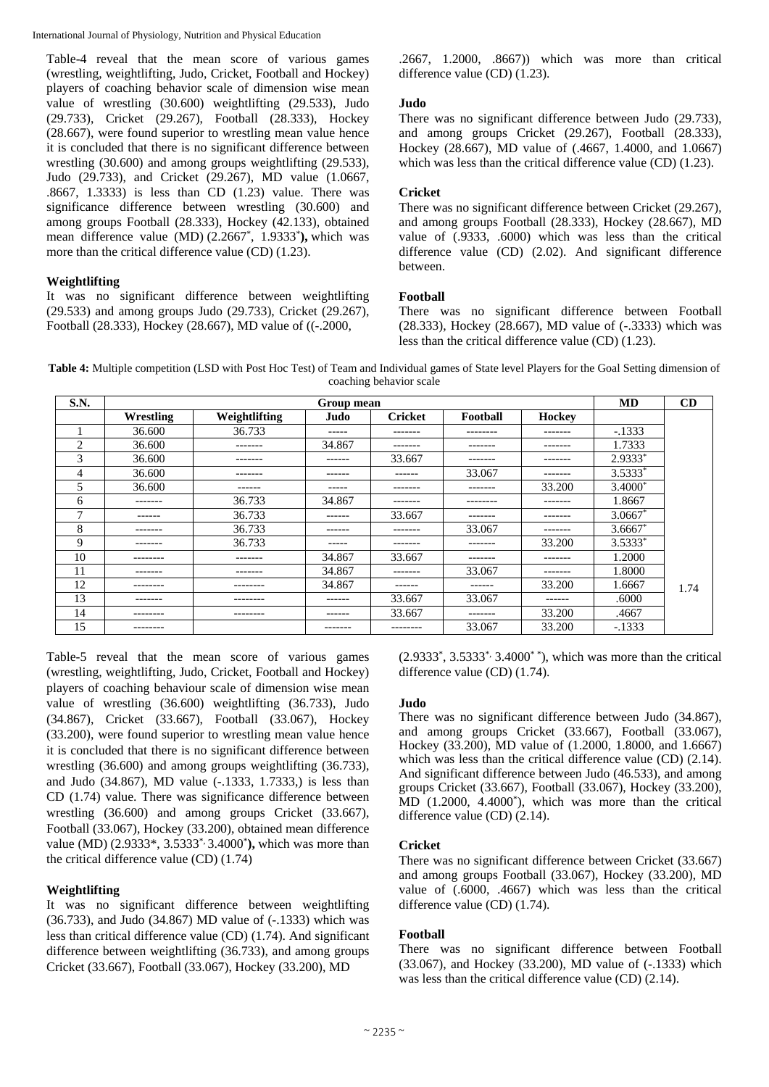Table-4 reveal that the mean score of various games (wrestling, weightlifting, Judo, Cricket, Football and Hockey) players of coaching behavior scale of dimension wise mean value of wrestling (30.600) weightlifting (29.533), Judo (29.733), Cricket (29.267), Football (28.333), Hockey (28.667), were found superior to wrestling mean value hence it is concluded that there is no significant difference between wrestling (30.600) and among groups weightlifting (29.533), Judo (29.733), and Cricket (29.267), MD value (1.0667, .8667, 1.3333) is less than CD (1.23) value. There was significance difference between wrestling (30.600) and among groups Football (28.333), Hockey (42.133), obtained mean difference value (MD) (2.2667<sup>\*</sup>, 1.9333<sup>\*</sup>), which was more than the critical difference value (CD) (1.23).

# **Weightlifting**

It was no significant difference between weightlifting (29.533) and among groups Judo (29.733), Cricket (29.267), Football (28.333), Hockey (28.667), MD value of ((-.2000,

.2667, 1.2000, .8667)) which was more than critical difference value (CD) (1.23).

# **Judo**

There was no significant difference between Judo (29.733), and among groups Cricket (29.267), Football (28.333), Hockey (28.667), MD value of (.4667, 1.4000, and 1.0667) which was less than the critical difference value (CD) (1.23).

# **Cricket**

There was no significant difference between Cricket (29.267), and among groups Football (28.333), Hockey (28.667), MD value of (.9333, .6000) which was less than the critical difference value (CD) (2.02). And significant difference between.

# **Football**

There was no significant difference between Football (28.333), Hockey (28.667), MD value of (-.3333) which was less than the critical difference value (CD) (1.23).

**Table 4:** Multiple competition (LSD with Post Hoc Test) of Team and Individual games of State level Players for the Goal Setting dimension of coaching behavior scale

| S.N.           |           |                 | Group mean  |                |          |               | <b>MD</b> | CD   |
|----------------|-----------|-----------------|-------------|----------------|----------|---------------|-----------|------|
|                | Wrestling | Weightlifting   | Judo        | <b>Cricket</b> | Football | <b>Hockey</b> |           |      |
|                | 36.600    | 36.733          | $- - - - -$ | --------       | -------- | -------       | $-1333$   |      |
| $\overline{c}$ | 36.600    | -------         | 34.867      | -------        | -------  | -------       | 1.7333    |      |
| 3              | 36.600    | --------        | -------     | 33.667         | -------  | -------       | 2.9333*   |      |
| 4              | 36.600    | -------         | ------      | ------         | 33.067   | -------       | $3.5333*$ |      |
| 5              | 36.600    | -------         | $- - - - -$ | -------        | -------  | 33.200        | $3.4000*$ |      |
| 6              | -------   | 36.733          | 34.867      | -------        | -------- | -------       | 1.8667    |      |
| 7              | ------    | 36.733          | -------     | 33.667         | -------  | -------       | $3.0667*$ |      |
| 8              | -------   | 36.733          | ------      | -------        | 33.067   | -------       | $3.6667*$ |      |
| 9              | -------   | 36.733          | $- - - - -$ | -------        | -------  | 33.200        | 3.5333*   |      |
| 10             | --------  | -------         | 34.867      | 33.667         | -------  | -------       | 1.2000    |      |
| 11             | -------   | $- - - - - - -$ | 34.867      | -------        | 33.067   | -------       | 1.8000    |      |
| 12             | --------  | --------        | 34.867      | -------        | -------  | 33.200        | 1.6667    | 1.74 |
| 13             | -------   | --------        | ------      | 33.667         | 33.067   | ------        | .6000     |      |
| 14             | --------  | --------        | ------      | 33.667         | -------  | 33.200        | .4667     |      |
| 15             | --------  |                 | -------     | --------       | 33.067   | 33.200        | $-.1333$  |      |

Table-5 reveal that the mean score of various games (wrestling, weightlifting, Judo, Cricket, Football and Hockey) players of coaching behaviour scale of dimension wise mean value of wrestling (36.600) weightlifting (36.733), Judo (34.867), Cricket (33.667), Football (33.067), Hockey (33.200), were found superior to wrestling mean value hence it is concluded that there is no significant difference between wrestling (36.600) and among groups weightlifting (36.733), and Judo (34.867), MD value (-.1333, 1.7333,) is less than CD (1.74) value. There was significance difference between wrestling (36.600) and among groups Cricket (33.667), Football (33.067), Hockey (33.200), obtained mean difference value (MD) (2.9333\*, 3.5333\*, 3.4000\* **),** which was more than the critical difference value (CD) (1.74)

# **Weightlifting**

It was no significant difference between weightlifting (36.733), and Judo (34.867) MD value of (-.1333) which was less than critical difference value (CD) (1.74). And significant difference between weightlifting (36.733), and among groups Cricket (33.667), Football (33.067), Hockey (33.200), MD

(2.9333\* , 3.5333\*, 3.4000\* \*), which was more than the critical difference value (CD) (1.74).

# **Judo**

There was no significant difference between Judo (34.867), and among groups Cricket (33.667), Football (33.067), Hockey (33.200), MD value of (1.2000, 1.8000, and 1.6667) which was less than the critical difference value (CD)  $(2.14)$ . And significant difference between Judo (46.533), and among groups Cricket (33.667), Football (33.067), Hockey (33.200), MD (1.2000, 4.4000\* ), which was more than the critical difference value (CD) (2.14).

# **Cricket**

There was no significant difference between Cricket (33.667) and among groups Football (33.067), Hockey (33.200), MD value of (.6000, .4667) which was less than the critical difference value (CD) (1.74).

# **Football**

There was no significant difference between Football (33.067), and Hockey (33.200), MD value of (-.1333) which was less than the critical difference value (CD) (2.14).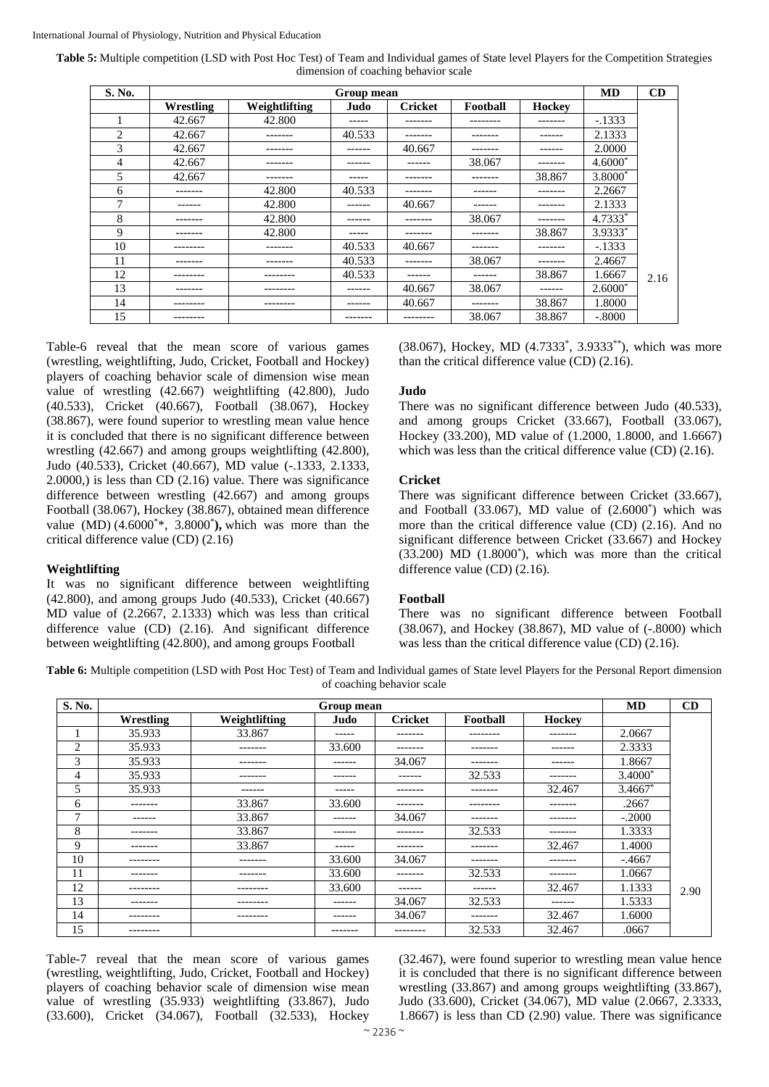**Table 5:** Multiple competition (LSD with Post Hoc Test) of Team and Individual games of State level Players for the Competition Strategies dimension of coaching behavior scale

| S. No. |           |               | Group mean |                |          |               | <b>MD</b> | CD   |
|--------|-----------|---------------|------------|----------------|----------|---------------|-----------|------|
|        | Wrestling | Weightlifting | Judo       | <b>Cricket</b> | Football | <b>Hockey</b> |           |      |
|        | 42.667    | 42.800        | ------     | -------        | -------- | -------       | $-.1333$  |      |
| 2      | 42.667    |               | 40.533     |                |          | ------        | 2.1333    |      |
| 3      | 42.667    | --------      | -------    | 40.667         | -------  |               | 2.0000    |      |
| 4      | 42.667    | -------       | ------     | ------         | 38.067   | -------       | $4.6000*$ |      |
| 5      | 42.667    |               | -----      |                | -------  | 38.867        | 3.8000*   |      |
| 6      | -------   | 42.800        | 40.533     | -------        | ------   | -------       | 2.2667    |      |
| 7      | ------    | 42.800        | ------     | 40.667         | ------   |               | 2.1333    |      |
| 8      | -------   | 42.800        | ------     |                | 38.067   |               | 4.7333*   |      |
| 9      | -------   | 42.800        | -----      | -------        | -------  | 38.867        | 3.9333*   |      |
| 10     | --------  | -------       | 40.533     | 40.667         | -------  | -------       | $-1333$   |      |
| 11     |           |               | 40.533     |                | 38.067   |               | 2.4667    |      |
| 12     | --------  | --------      | 40.533     | ------         | ------   | 38.867        | 1.6667    | 2.16 |
| 13     | --------  | ---------     | ------     | 40.667         | 38.067   | ------        | $2.6000*$ |      |
| 14     | --------  | --------      | ------     | 40.667         | ------   | 38.867        | 1.8000    |      |
| 15     | --------  |               | -------    | --------       | 38.067   | 38.867        | $-.8000$  |      |

Table-6 reveal that the mean score of various games (wrestling, weightlifting, Judo, Cricket, Football and Hockey) players of coaching behavior scale of dimension wise mean value of wrestling (42.667) weightlifting (42.800), Judo (40.533), Cricket (40.667), Football (38.067), Hockey (38.867), were found superior to wrestling mean value hence it is concluded that there is no significant difference between wrestling (42.667) and among groups weightlifting (42.800), Judo (40.533), Cricket (40.667), MD value (-.1333, 2.1333, 2.0000,) is less than CD (2.16) value. There was significance difference between wrestling (42.667) and among groups Football (38.067), Hockey (38.867), obtained mean difference value (MD) (4.6000<sup>\*</sup>\*, 3.8000<sup>\*</sup>), which was more than the critical difference value (CD) (2.16)

#### **Weightlifting**

It was no significant difference between weightlifting (42.800), and among groups Judo (40.533), Cricket (40.667) MD value of (2.2667, 2.1333) which was less than critical difference value (CD) (2.16). And significant difference between weightlifting (42.800), and among groups Football

(38.067), Hockey, MD (4.7333<sup>\*</sup>, 3.9333<sup>\*\*</sup>), which was more than the critical difference value (CD) (2.16).

#### **Judo**

There was no significant difference between Judo (40.533), and among groups Cricket (33.667), Football (33.067), Hockey (33.200), MD value of (1.2000, 1.8000, and 1.6667) which was less than the critical difference value (CD) (2.16).

#### **Cricket**

There was significant difference between Cricket (33.667), and Football (33.067), MD value of (2.6000\* ) which was more than the critical difference value (CD) (2.16). And no significant difference between Cricket (33.667) and Hockey (33.200) MD (1.8000\* ), which was more than the critical difference value (CD) (2.16).

#### **Football**

There was no significant difference between Football (38.067), and Hockey (38.867), MD value of (-.8000) which was less than the critical difference value (CD) (2.16).

**Table 6:** Multiple competition (LSD with Post Hoc Test) of Team and Individual games of State level Players for the Personal Report dimension of coaching behavior scale

| S. No.       |           |               | Group mean |                |          |          | MD        | CD   |
|--------------|-----------|---------------|------------|----------------|----------|----------|-----------|------|
|              | Wrestling | Weightlifting | Judo       | <b>Cricket</b> | Football | Hockey   |           |      |
|              | 35.933    | 33.867        | -----      | -------        | -------- | -------- | 2.0667    |      |
| 2            | 35.933    | -------       | 33.600     | --------       | -------- | -------  | 2.3333    |      |
| 3            | 35.933    | --------      | -------    | 34.067         | -------- | ------   | 1.8667    |      |
| 4            | 35.933    | -------       | -------    | -------        | 32.533   | -------  | $3.4000*$ |      |
| 5            | 35.933    | -------       | ------     | --------       | -------- | 32.467   | $3.4667*$ |      |
| 6            | -------   | 33.867        | 33.600     | --------       | -------- | -------- | .2667     |      |
| $\mathbf{r}$ | -------   | 33.867        | ------     | 34.067         | -------- | -------- | $-.2000$  |      |
| 8            | --------  | 33.867        | ------     | --------       | 32.533   | -------- | 1.3333    |      |
| 9            | --------  | 33.867        | ------     | --------       | -------  | 32.467   | 1.4000    |      |
| 10           | --------  | --------      | 33.600     | 34.067         | -------  | -------- | $-.4667$  |      |
| 11           | --------  | --------      | 33.600     | --------       | 32.533   | -------  | 1.0667    |      |
| 12           | --------- | --------      | 33.600     | ------         | -------  | 32.467   | 1.1333    | 2.90 |
| 13           | -------   | --------      | ------     | 34.067         | 32.533   | ------   | 1.5333    |      |
| 14           | --------  | --------      | ------     | 34.067         | -------  | 32.467   | 1.6000    |      |
| 15           | --------- |               | --------   | ---------      | 32.533   | 32.467   | .0667     |      |

Table-7 reveal that the mean score of various games (wrestling, weightlifting, Judo, Cricket, Football and Hockey) players of coaching behavior scale of dimension wise mean value of wrestling (35.933) weightlifting (33.867), Judo (33.600), Cricket (34.067), Football (32.533), Hockey

(32.467), were found superior to wrestling mean value hence it is concluded that there is no significant difference between wrestling (33.867) and among groups weightlifting (33.867), Judo (33.600), Cricket (34.067), MD value (2.0667, 2.3333, 1.8667) is less than CD (2.90) value. There was significance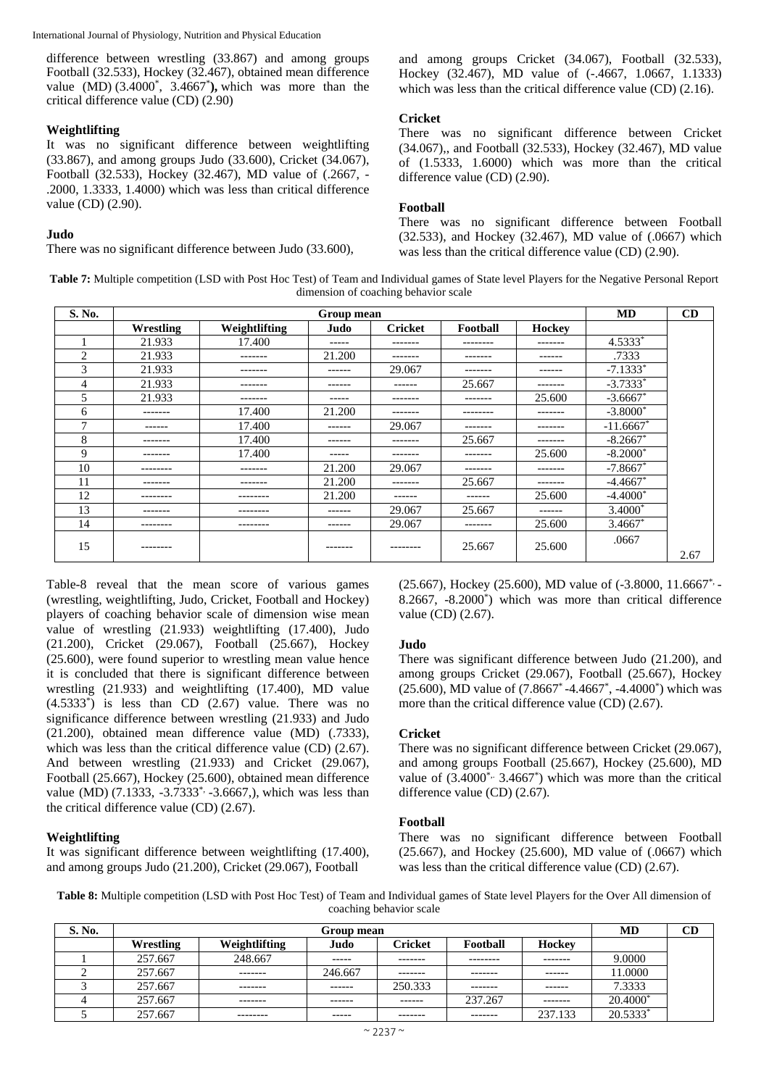difference between wrestling (33.867) and among groups Football (32.533), Hockey (32.467), obtained mean difference value (MD) (3.4000\* , 3.4667\* **),** which was more than the critical difference value (CD) (2.90)

# **Weightlifting**

It was no significant difference between weightlifting (33.867), and among groups Judo (33.600), Cricket (34.067), Football (32.533), Hockey (32.467), MD value of (.2667, - .2000, 1.3333, 1.4000) which was less than critical difference value (CD) (2.90).

# **Judo**

There was no significant difference between Judo (33.600),

and among groups Cricket (34.067), Football (32.533), Hockey (32.467), MD value of (-.4667, 1.0667, 1.1333) which was less than the critical difference value (CD) (2.16).

# **Cricket**

There was no significant difference between Cricket (34.067),, and Football (32.533), Hockey (32.467), MD value of (1.5333, 1.6000) which was more than the critical difference value (CD) (2.90).

# **Football**

There was no significant difference between Football (32.533), and Hockey (32.467), MD value of (.0667) which was less than the critical difference value (CD) (2.90).

**Table 7:** Multiple competition (LSD with Post Hoc Test) of Team and Individual games of State level Players for the Negative Personal Report dimension of coaching behavior scale

| S. No.         |           |               | Group mean    |                |               |         | <b>MD</b>   | CD   |
|----------------|-----------|---------------|---------------|----------------|---------------|---------|-------------|------|
|                | Wrestling | Weightlifting | Judo          | <b>Cricket</b> | Football      | Hockey  |             |      |
|                | 21.933    | 17.400        | $- - - - -$   | -------        | ---------     | ------- | 4.5333*     |      |
| $\overline{c}$ | 21.933    | -------       | 21.200        | --------       | -------       | ------  | .7333       |      |
| 3              | 21.933    | -------       | -------       | 29.067         | -------       | ------  | $-7.1333*$  |      |
| 4              | 21.933    | -------       | ------        | ------         | 25.667        | ------- | $-3.7333*$  |      |
| 5              | 21.933    | -------       | $- - - - -$   | -------        | -------       | 25.600  | $-3.6667$ * |      |
| 6              | --------  | 17.400        | 21.200        | --------       | --------      | ------- | $-3.8000*$  |      |
| $\mathcal{I}$  | ------    | 17.400        | ------        | 29.067         | -------       | ------- | $-11.6667*$ |      |
| 8              | --------  | 17.400        | ------        | -------        | 25.667        | ------- | $-8.2667$ * |      |
| 9              | --------  | 17.400        | ------        | --------       | --------      | 25.600  | $-8.2000*$  |      |
| 10             | --------  | -------       | 21.200        | 29.067         | -------       | ------- | $-7.8667*$  |      |
| 11             | --------  | -------       | 21.200        | -------        | 25.667        | ------- | $-4.4667*$  |      |
| 12             | --------  | --------      | 21.200        | $- - - - - -$  | $- - - - - -$ | 25.600  | $-4.4000*$  |      |
| 13             | -------   | --------      | $- - - - - -$ | 29.067         | 25.667        | ------  | 3.4000*     |      |
| 14             | --------- | --------      | ------        | 29.067         | -------       | 25.600  | $3.4667*$   |      |
| 15             | --------- |               | -------       | ---------      | 25.667        | 25.600  | .0667       | 2.67 |

Table-8 reveal that the mean score of various games (wrestling, weightlifting, Judo, Cricket, Football and Hockey) players of coaching behavior scale of dimension wise mean value of wrestling (21.933) weightlifting (17.400), Judo  $(21.200)$ , Cricket  $(29.067)$ , Football  $(25.667)$ , Hockey (25.600), were found superior to wrestling mean value hence it is concluded that there is significant difference between wrestling (21.933) and weightlifting (17.400), MD value  $(4.5333<sup>*</sup>)$  is less than CD  $(2.67)$  value. There was no significance difference between wrestling (21.933) and Judo (21.200), obtained mean difference value (MD) (.7333), which was less than the critical difference value (CD) (2.67). And between wrestling (21.933) and Cricket (29.067), Football (25.667), Hockey (25.600), obtained mean difference value (MD)  $(7.1333, -3.7333^* -3.6667)$ , which was less than the critical difference value (CD) (2.67).

# **Weightlifting**

It was significant difference between weightlifting (17.400), and among groups Judo (21.200), Cricket (29.067), Football

(25.667), Hockey (25.600), MD value of (-3.8000, 11.6667\*, - 8.2667, -8.2000\* ) which was more than critical difference value (CD) (2.67).

# **Judo**

There was significant difference between Judo (21.200), and among groups Cricket (29.067), Football (25.667), Hockey (25.600), MD value of (7.8667\* -4.4667\* , -4.4000\* ) which was more than the critical difference value (CD) (2.67).

# **Cricket**

There was no significant difference between Cricket (29.067), and among groups Football (25.667), Hockey (25.600), MD value of  $(3.4000^*$   $\cdot$  3.4667<sup>\*</sup>) which was more than the critical difference value (CD) (2.67).

# **Football**

There was no significant difference between Football (25.667), and Hockey (25.600), MD value of (.0667) which was less than the critical difference value (CD) (2.67).

**Table 8:** Multiple competition (LSD with Post Hoc Test) of Team and Individual games of State level Players for the Over All dimension of coaching behavior scale

| S. No. |           | Group mean    |             |                |          |               |            |  |  |
|--------|-----------|---------------|-------------|----------------|----------|---------------|------------|--|--|
|        | Wrestling | Weightlifting | Judo        | <b>Cricket</b> | Football | Hockey        |            |  |  |
|        | 257.667   | 248.667       | ------      | -------        | -------- | -------       | 9.0000     |  |  |
|        | 257.667   | --------      | 246.667     | -------        | -------- | $- - - - - -$ | 11.0000    |  |  |
|        | 257.667   | --------      | -------     | 250.333        | -------- | -------       | 7.3333     |  |  |
|        | 257.667   | -------       | ------      | -------        | 237.267  | -------       | 20.4000*   |  |  |
|        | 257.667   | --------      | $- - - - -$ | -------        | -------- | 237.133       | $20.5333*$ |  |  |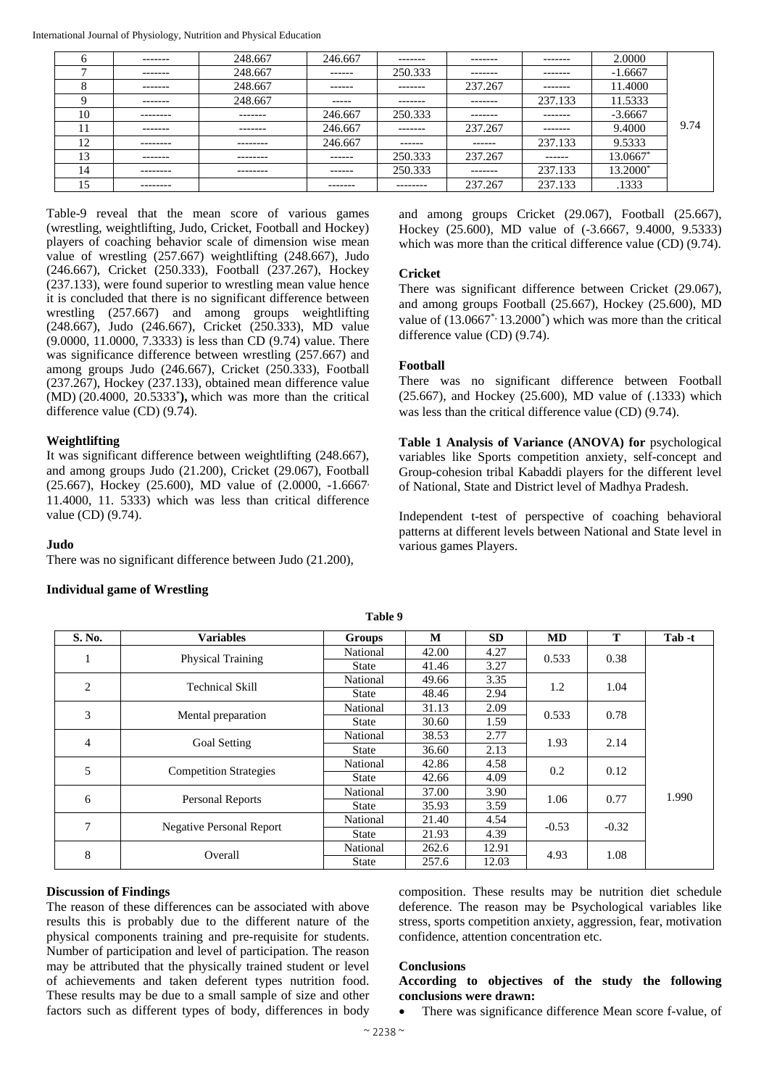| <sub>0</sub>   | -------   | 248.667  | 246.667  | -------  | -------  | ------- | 2.0000    |      |
|----------------|-----------|----------|----------|----------|----------|---------|-----------|------|
| $\overline{ }$ | -------   | 248.667  | -------  | 250.333  | -------- | ------- | $-1.6667$ |      |
| 8              | -------   | 248.667  | ------   | -------- | 237.267  | ------- | 11.4000   |      |
| Q              | -------   | 248.667  | -----    | -------- | -------- | 237.133 | 11.5333   |      |
| 10             | --------- | -------- | 246.667  | 250.333  | -------  | ------- | $-3.6667$ |      |
| ш              | -------   | -------  | 246.667  | -------  | 237.267  | ------- | 9.4000    | 9.74 |
| 12             | --------- | -------- | 246.667  | ------   | ------   | 237.133 | 9.5333    |      |
| 13             | -------   | -------- | ------   | 250.333  | 237.267  | ------  | 13.0667*  |      |
| 14             | --------- | -------- | ------   | 250.333  | -------  | 237.133 | 13.2000*  |      |
| 15             | --------- |          | -------- | -------- | 237.267  | 237.133 | .1333     |      |

Table-9 reveal that the mean score of various games (wrestling, weightlifting, Judo, Cricket, Football and Hockey) players of coaching behavior scale of dimension wise mean value of wrestling (257.667) weightlifting (248.667), Judo (246.667), Cricket (250.333), Football (237.267), Hockey (237.133), were found superior to wrestling mean value hence it is concluded that there is no significant difference between wrestling (257.667) and among groups weightlifting (248.667), Judo (246.667), Cricket (250.333), MD value (9.0000, 11.0000, 7.3333) is less than CD (9.74) value. There was significance difference between wrestling (257.667) and among groups Judo (246.667), Cricket (250.333), Football (237.267), Hockey (237.133), obtained mean difference value (MD) (20.4000, 20.5333\* **),** which was more than the critical difference value (CD) (9.74).

# **Weightlifting**

It was significant difference between weightlifting (248.667), and among groups Judo (21.200), Cricket (29.067), Football (25.667), Hockey (25.600), MD value of (2.0000, -1.6667, 11.4000, 11. 5333) which was less than critical difference value (CD) (9.74).

# **Judo**

There was no significant difference between Judo (21.200),

# **Individual game of Wrestling**

and among groups Cricket (29.067), Football (25.667), Hockey (25.600), MD value of (-3.6667, 9.4000, 9.5333) which was more than the critical difference value (CD) (9.74).

# **Cricket**

There was significant difference between Cricket (29.067), and among groups Football (25.667), Hockey (25.600), MD value of  $(13.0667^*13.2000^*)$  which was more than the critical difference value (CD) (9.74).

# **Football**

There was no significant difference between Football (25.667), and Hockey (25.600), MD value of (.1333) which was less than the critical difference value (CD) (9.74).

**Table 1 Analysis of Variance (ANOVA) for** psychological variables like Sports competition anxiety, self-concept and Group-cohesion tribal Kabaddi players for the different level of National, State and District level of Madhya Pradesh.

Independent t-test of perspective of coaching behavioral patterns at different levels between National and State level in various games Players.

| S. No. | <b>Variables</b>                | Groups       | М     | <b>SD</b> | <b>MD</b> | T       | Tab -t |
|--------|---------------------------------|--------------|-------|-----------|-----------|---------|--------|
|        | <b>Physical Training</b>        | National     | 42.00 | 4.27      | 0.533     | 0.38    |        |
|        |                                 | State        | 41.46 | 3.27      |           |         |        |
| 2      | <b>Technical Skill</b>          | National     | 49.66 | 3.35      | 1.2       | 1.04    |        |
|        |                                 | State        | 48.46 | 2.94      |           |         |        |
| 3      | Mental preparation              | National     | 31.13 | 2.09      | 0.533     | 0.78    |        |
|        |                                 | State        | 30.60 | 1.59      |           |         |        |
| 4      | Goal Setting                    | National     | 38.53 | 2.77      | 1.93      | 2.14    |        |
|        |                                 | State        | 36.60 | 2.13      |           |         |        |
| 5      | <b>Competition Strategies</b>   | National     | 42.86 | 4.58      | 0.2       | 0.12    |        |
|        |                                 | State        | 42.66 | 4.09      |           |         |        |
| 6      | Personal Reports                | National     | 37.00 | 3.90      | 1.06      | 0.77    | 1.990  |
|        |                                 | State        | 35.93 | 3.59      |           |         |        |
| 7      | <b>Negative Personal Report</b> | National     | 21.40 | 4.54      | $-0.53$   |         |        |
|        |                                 | State        | 21.93 | 4.39      |           | $-0.32$ |        |
| 8      | Overall                         | National     | 262.6 | 12.91     | 4.93      | 1.08    |        |
|        |                                 | <b>State</b> | 257.6 | 12.03     |           |         |        |

**Table 9**

# **Discussion of Findings**

The reason of these differences can be associated with above results this is probably due to the different nature of the physical components training and pre-requisite for students. Number of participation and level of participation. The reason may be attributed that the physically trained student or level of achievements and taken deferent types nutrition food. These results may be due to a small sample of size and other factors such as different types of body, differences in body

composition. These results may be nutrition diet schedule deference. The reason may be Psychological variables like stress, sports competition anxiety, aggression, fear, motivation confidence, attention concentration etc.

# **Conclusions**

# **According to objectives of the study the following conclusions were drawn:**

There was significance difference Mean score f-value, of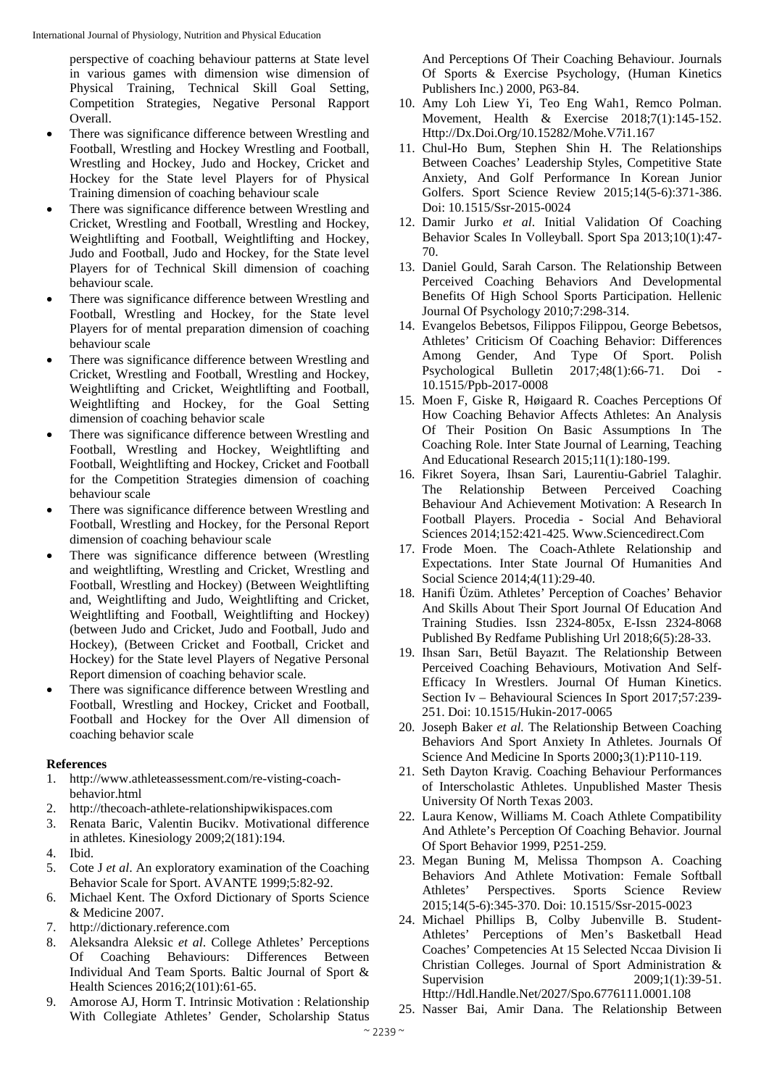perspective of coaching behaviour patterns at State level in various games with dimension wise dimension of Physical Training, Technical Skill Goal Setting, Competition Strategies, Negative Personal Rapport Overall.

- There was significance difference between Wrestling and Football, Wrestling and Hockey Wrestling and Football, Wrestling and Hockey, Judo and Hockey, Cricket and Hockey for the State level Players for of Physical Training dimension of coaching behaviour scale
- There was significance difference between Wrestling and Cricket, Wrestling and Football, Wrestling and Hockey, Weightlifting and Football, Weightlifting and Hockey, Judo and Football, Judo and Hockey, for the State level Players for of Technical Skill dimension of coaching behaviour scale.
- There was significance difference between Wrestling and Football, Wrestling and Hockey, for the State level Players for of mental preparation dimension of coaching behaviour scale
- There was significance difference between Wrestling and Cricket, Wrestling and Football, Wrestling and Hockey, Weightlifting and Cricket, Weightlifting and Football, Weightlifting and Hockey, for the Goal Setting dimension of coaching behavior scale
- There was significance difference between Wrestling and Football, Wrestling and Hockey, Weightlifting and Football, Weightlifting and Hockey, Cricket and Football for the Competition Strategies dimension of coaching behaviour scale
- There was significance difference between Wrestling and Football, Wrestling and Hockey, for the Personal Report dimension of coaching behaviour scale
- There was significance difference between (Wrestling and weightlifting, Wrestling and Cricket, Wrestling and Football, Wrestling and Hockey) (Between Weightlifting and, Weightlifting and Judo, Weightlifting and Cricket, Weightlifting and Football, Weightlifting and Hockey) (between Judo and Cricket, Judo and Football, Judo and Hockey), (Between Cricket and Football, Cricket and Hockey) for the State level Players of Negative Personal Report dimension of coaching behavior scale.
- There was significance difference between Wrestling and Football, Wrestling and Hockey, Cricket and Football, Football and Hockey for the Over All dimension of coaching behavior scale

# **References**

- 1. http://www.athleteassessment.com/re-visting-coachbehavior.html
- 2. http://thecoach-athlete-relationshipwikispaces.com
- 3. Renata Baric, Valentin Bucikv. Motivational difference in athletes. Kinesiology 2009;2(181):194.
- 4. Ibid.
- 5. Cote J *et al*. An exploratory examination of the Coaching Behavior Scale for Sport. AVANTE 1999;5:82-92.
- 6. Michael Kent. The Oxford Dictionary of Sports Science & Medicine 2007.
- 7. http://dictionary.reference.com
- 8. Aleksandra Aleksic *et al*. College Athletes' Perceptions Of Coaching Behaviours: Differences Between Individual And Team Sports. Baltic Journal of Sport & Health Sciences 2016;2(101):61-65.
- 9. Amorose AJ, Horm T. Intrinsic Motivation : Relationship With Collegiate Athletes' Gender, Scholarship Status

And Perceptions Of Their Coaching Behaviour. Journals Of Sports & Exercise Psychology, (Human Kinetics Publishers Inc.) 2000, P63-84.

- 10. Amy Loh Liew Yi, Teo Eng Wah1, Remco Polman. Movement, Health & Exercise 2018;7(1):145-152. Http://Dx.Doi.Org/10.15282/Mohe.V7i1.167
- 11. Chul-Ho Bum, Stephen Shin H. The Relationships Between Coaches' Leadership Styles, Competitive State Anxiety, And Golf Performance In Korean Junior Golfers. Sport Science Review 2015;14(5-6):371-386. Doi: 10.1515/Ssr-2015-0024
- 12. Damir Jurko *et al*. Initial Validation Of Coaching Behavior Scales In Volleyball. Sport Spa 2013;10(1):47- 70.
- 13. Daniel Gould, Sarah Carson. The Relationship Between Perceived Coaching Behaviors And Developmental Benefits Of High School Sports Participation. Hellenic Journal Of Psychology 2010;7:298-314.
- 14. Evangelos Bebetsos, Filippos Filippou, George Bebetsos, Athletes' Criticism Of Coaching Behavior: Differences Among Gender, And Type Of Sport. Polish Psychological Bulletin 2017;48(1):66-71. Doi - 10.1515/Ppb-2017-0008
- 15. Moen F, Giske R, Høigaard R. Coaches Perceptions Of How Coaching Behavior Affects Athletes: An Analysis Of Their Position On Basic Assumptions In The Coaching Role. Inter State Journal of Learning, Teaching And Educational Research 2015;11(1):180-199.
- 16. Fikret Soyera, Ihsan Sari, Laurentiu-Gabriel Talaghir. The Relationship Between Perceived Coaching Behaviour And Achievement Motivation: A Research In Football Players. Procedia - Social And Behavioral Sciences 2014;152:421-425. Www.Sciencedirect.Com
- 17. Frode Moen. The Coach-Athlete Relationship and Expectations. Inter State Journal Of Humanities And Social Science 2014;4(11):29-40.
- 18. Hanifi Üzüm. Athletes' Perception of Coaches' Behavior And Skills About Their Sport Journal Of Education And Training Studies. Issn 2324-805x, E-Issn 2324-8068 Published By Redfame Publishing Url 2018;6(5):28-33.
- 19. Ihsan Sarı, Betül Bayazıt. The Relationship Between Perceived Coaching Behaviours, Motivation And Self-Efficacy In Wrestlers. Journal Of Human Kinetics. Section Iv – Behavioural Sciences In Sport 2017;57:239- 251. Doi: 10.1515/Hukin-2017-0065
- 20. Joseph Baker *et al.* The Relationship Between Coaching Behaviors And Sport Anxiety In Athletes. Journals Of Science And Medicine In Sports 2000**;**3(1):P110-119.
- 21. Seth Dayton Kravig. Coaching Behaviour Performances of Interscholastic Athletes. Unpublished Master Thesis University Of North Texas 2003.
- 22. Laura Kenow, Williams M. Coach Athlete Compatibility And Athlete's Perception Of Coaching Behavior. Journal Of Sport Behavior 1999, P251-259.
- 23. Megan Buning M, Melissa Thompson A. Coaching Behaviors And Athlete Motivation: Female Softball Athletes' Perspectives. Sports Science Review 2015;14(5-6):345-370. Doi: 10.1515/Ssr-2015-0023
- 24. Michael Phillips B, Colby Jubenville B. Student-Athletes' Perceptions of Men's Basketball Head Coaches' Competencies At 15 Selected Nccaa Division Ii Christian Colleges. Journal of Sport Administration & Supervision 2009;1(1):39-51. Http://Hdl.Handle.Net/2027/Spo.6776111.0001.108
- 25. Nasser Bai, Amir Dana. The Relationship Between